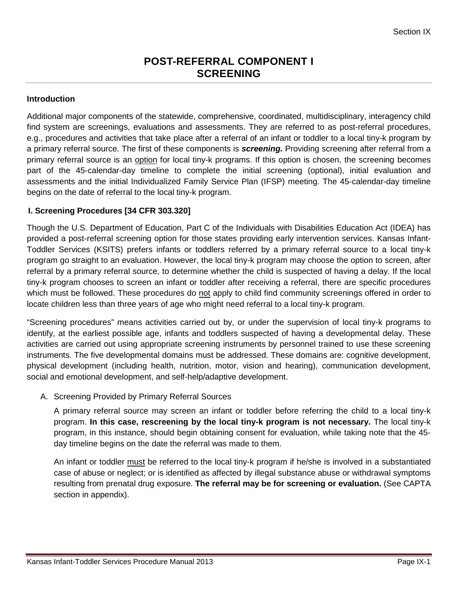# **POST-REFERRAL COMPONENT I SCREENING**

### **Introduction**

Additional major components of the statewide, comprehensive, coordinated, multidisciplinary, interagency child find system are screenings, evaluations and assessments. They are referred to as post-referral procedures, e.g., procedures and activities that take place after a referral of an infant or toddler to a local tiny-k program by a primary referral source. The first of these components is *screening.* Providing screening after referral from a primary referral source is an option for local tiny-k programs. If this option is chosen, the screening becomes part of the 45-calendar-day timeline to complete the initial screening (optional), initial evaluation and assessments and the initial Individualized Family Service Plan (IFSP) meeting. The 45-calendar-day timeline begins on the date of referral to the local tiny-k program.

### **I. Screening Procedures [34 CFR 303.320]**

Though the U.S. Department of Education, Part C of the Individuals with Disabilities Education Act (IDEA) has provided a post-referral screening option for those states providing early intervention services. Kansas Infant-Toddler Services (KSITS) prefers infants or toddlers referred by a primary referral source to a local tiny-k program go straight to an evaluation. However, the local tiny-k program may choose the option to screen, after referral by a primary referral source, to determine whether the child is suspected of having a delay. If the local tiny-k program chooses to screen an infant or toddler after receiving a referral, there are specific procedures which must be followed. These procedures do not apply to child find community screenings offered in order to locate children less than three years of age who might need referral to a local tiny-k program.

"Screening procedures" means activities carried out by, or under the supervision of local tiny-k programs to identify, at the earliest possible age, infants and toddlers suspected of having a developmental delay. These activities are carried out using appropriate screening instruments by personnel trained to use these screening instruments. The five developmental domains must be addressed. These domains are: cognitive development, physical development (including health, nutrition, motor, vision and hearing), communication development, social and emotional development, and self-help/adaptive development.

### A. Screening Provided by Primary Referral Sources

A primary referral source may screen an infant or toddler before referring the child to a local tiny-k program. **In this case, rescreening by the local tiny-k program is not necessary.** The local tiny-k program, in this instance, should begin obtaining consent for evaluation, while taking note that the 45 day timeline begins on the date the referral was made to them.

An infant or toddler must be referred to the local tiny-k program if he/she is involved in a substantiated case of abuse or neglect; or is identified as affected by illegal substance abuse or withdrawal symptoms resulting from prenatal drug exposure. **The referral may be for screening or evaluation.** (See CAPTA section in appendix).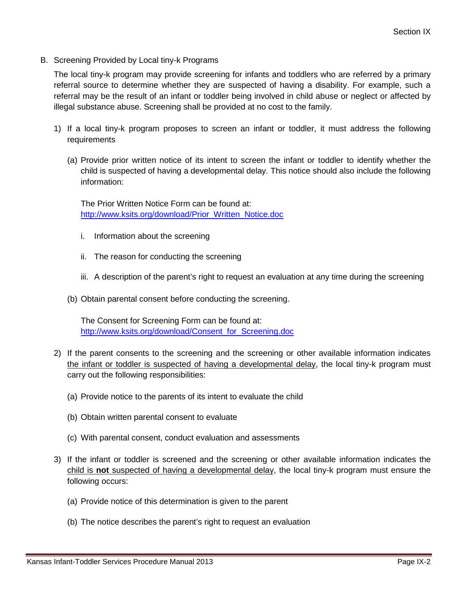B. Screening Provided by Local tiny-k Programs

The local tiny-k program may provide screening for infants and toddlers who are referred by a primary referral source to determine whether they are suspected of having a disability. For example, such a referral may be the result of an infant or toddler being involved in child abuse or neglect or affected by illegal substance abuse. Screening shall be provided at no cost to the family.

- 1) If a local tiny-k program proposes to screen an infant or toddler, it must address the following requirements
	- (a) Provide prior written notice of its intent to screen the infant or toddler to identify whether the child is suspected of having a developmental delay. This notice should also include the following information:

The Prior Written Notice Form can be found at: [http://www.ksits.org/download/Prior\\_Written\\_Notice.doc](http://www.ksits.org/download/Prior_Written_Notice.doc)

- i. Information about the screening
- ii. The reason for conducting the screening
- iii. A description of the parent's right to request an evaluation at any time during the screening
- (b) Obtain parental consent before conducting the screening.

The Consent for Screening Form can be found at: [http://www.ksits.org/download/Consent\\_for\\_Screening.doc](http://www.ksits.org/download/Consent_for_Screening.doc)

- 2) If the parent consents to the screening and the screening or other available information indicates the infant or toddler is suspected of having a developmental delay, the local tiny-k program must carry out the following responsibilities:
	- (a) Provide notice to the parents of its intent to evaluate the child
	- (b) Obtain written parental consent to evaluate
	- (c) With parental consent, conduct evaluation and assessments
- 3) If the infant or toddler is screened and the screening or other available information indicates the child is **not** suspected of having a developmental delay, the local tiny-k program must ensure the following occurs:
	- (a) Provide notice of this determination is given to the parent
	- (b) The notice describes the parent's right to request an evaluation